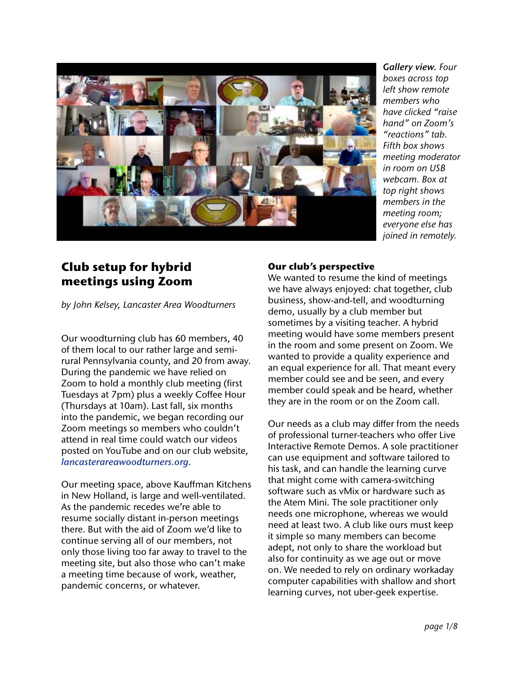

*Gallery view. Four boxes across top left show remote members who have clicked "raise hand" on Zoom's "reactions" tab. Fifth box shows meeting moderator in room on USB webcam. Box at top right shows members in the meeting room; everyone else has joined in remotely.* 

## **Club setup for hybrid meetings using Zoom**

*by John Kelsey, Lancaster Area Woodturners*

Our woodturning club has 60 members, 40 of them local to our rather large and semirural Pennsylvania county, and 20 from away. During the pandemic we have relied on Zoom to hold a monthly club meeting (first Tuesdays at 7pm) plus a weekly Coffee Hour (Thursdays at 10am). Last fall, six months into the pandemic, we began recording our Zoom meetings so members who couldn't attend in real time could watch our videos posted on YouTube and on our club website, *lancasterareawoodturners.org*.

Our meeting space, above Kauffman Kitchens in New Holland, is large and well-ventilated. As the pandemic recedes we're able to resume socially distant in-person meetings there. But with the aid of Zoom we'd like to continue serving all of our members, not only those living too far away to travel to the meeting site, but also those who can't make a meeting time because of work, weather, pandemic concerns, or whatever.

## **Our club's perspective**

We wanted to resume the kind of meetings we have always enjoyed: chat together, club business, show-and-tell, and woodturning demo, usually by a club member but sometimes by a visiting teacher. A hybrid meeting would have some members present in the room and some present on Zoom. We wanted to provide a quality experience and an equal experience for all. That meant every member could see and be seen, and every member could speak and be heard, whether they are in the room or on the Zoom call.

Our needs as a club may differ from the needs of professional turner-teachers who offer Live Interactive Remote Demos. A sole practitioner can use equipment and software tailored to his task, and can handle the learning curve that might come with camera-switching software such as vMix or hardware such as the Atem Mini. The sole practitioner only needs one microphone, whereas we would need at least two. A club like ours must keep it simple so many members can become adept, not only to share the workload but also for continuity as we age out or move on. We needed to rely on ordinary workaday computer capabilities with shallow and short learning curves, not uber-geek expertise.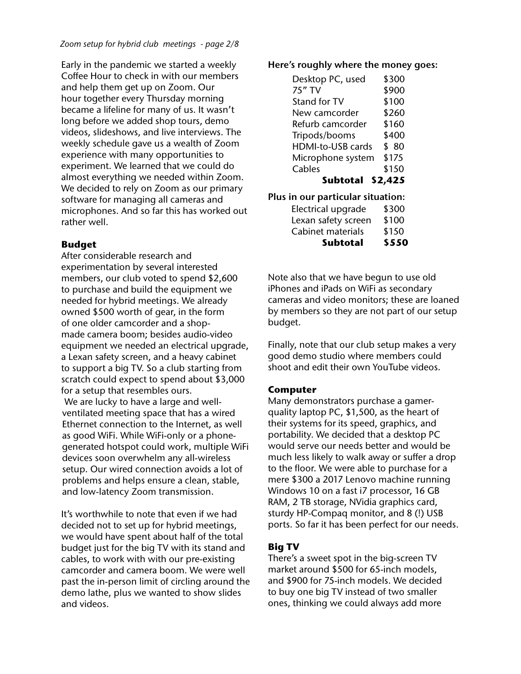Early in the pandemic we started a weekly Coffee Hour to check in with our members and help them get up on Zoom. Our hour together every Thursday morning became a lifeline for many of us. It wasn't long before we added shop tours, demo videos, slideshows, and live interviews. The weekly schedule gave us a wealth of Zoom experience with many opportunities to experiment. We learned that we could do almost everything we needed within Zoom. We decided to rely on Zoom as our primary software for managing all cameras and microphones. And so far this has worked out rather well.

#### **Budget**

After considerable research and experimentation by several interested members, our club voted to spend \$2,600 to purchase and build the equipment we needed for hybrid meetings. We already owned \$500 worth of gear, in the form of one older camcorder and a shopmade camera boom; besides audio-video equipment we needed an electrical upgrade, a Lexan safety screen, and a heavy cabinet to support a big TV. So a club starting from scratch could expect to spend about \$3,000 for a setup that resembles ours.

 We are lucky to have a large and wellventilated meeting space that has a wired Ethernet connection to the Internet, as well as good WiFi. While WiFi-only or a phonegenerated hotspot could work, multiple WiFi devices soon overwhelm any all-wireless setup. Our wired connection avoids a lot of problems and helps ensure a clean, stable, and low-latency Zoom transmission.

It's worthwhile to note that even if we had decided not to set up for hybrid meetings, we would have spent about half of the total budget just for the big TV with its stand and cables, to work with with our pre-existing camcorder and camera boom. We were well past the in-person limit of circling around the demo lathe, plus we wanted to show slides and videos.

#### **Here's roughly where the money goes:**

| Desktop PC, used         | \$300   |
|--------------------------|---------|
| 75" TV                   | \$900   |
| Stand for TV             | \$100   |
| New camcorder            | \$260   |
| Refurb camcorder         | \$160   |
| Tripods/booms            | \$400   |
| <b>HDMI-to-USB cards</b> | \$80    |
| Microphone system        | \$175   |
| Cables                   | \$150   |
| <b>Subtotal</b>          | \$2,425 |

**Plus in our particular situation:**

| <b>Subtotal</b>     | \$550 |
|---------------------|-------|
| Cabinet materials   | \$150 |
| Lexan safety screen | \$100 |
| Electrical upgrade  | \$300 |

Note also that we have begun to use old iPhones and iPads on WiFi as secondary cameras and video monitors; these are loaned by members so they are not part of our setup budget.

Finally, note that our club setup makes a very good demo studio where members could shoot and edit their own YouTube videos.

#### **Computer**

Many demonstrators purchase a gamerquality laptop PC, \$1,500, as the heart of their systems for its speed, graphics, and portability. We decided that a desktop PC would serve our needs better and would be much less likely to walk away or suffer a drop to the floor. We were able to purchase for a mere \$300 a 2017 Lenovo machine running Windows 10 on a fast i7 processor, 16 GB RAM, 2 TB storage, NVidia graphics card, sturdy HP-Compaq monitor, and 8 (!) USB ports. So far it has been perfect for our needs.

### **Big TV**

There's a sweet spot in the big-screen TV market around \$500 for 65-inch models, and \$900 for 75-inch models. We decided to buy one big TV instead of two smaller ones, thinking we could always add more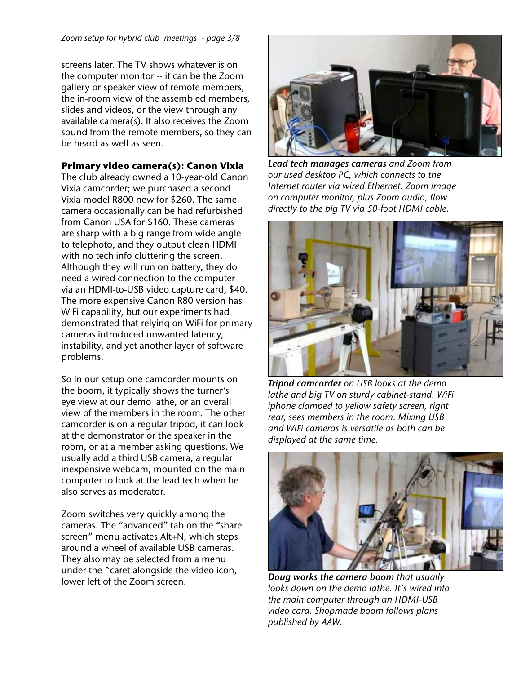screens later. The TV shows whatever is on the computer monitor -- it can be the Zoom gallery or speaker view of remote members, the in-room view of the assembled members, slides and videos, or the view through any available camera(s). It also receives the Zoom sound from the remote members, so they can be heard as well as seen.

#### **Primary video camera(s): Canon Vixia**

The club already owned a 10-year-old Canon Vixia camcorder; we purchased a second Vixia model R800 new for \$260. The same camera occasionally can be had refurbished from Canon USA for \$160. These cameras are sharp with a big range from wide angle to telephoto, and they output clean HDMI with no tech info cluttering the screen. Although they will run on battery, they do need a wired connection to the computer via an HDMI-to-USB video capture card, \$40. The more expensive Canon R80 version has WiFi capability, but our experiments had demonstrated that relying on WiFi for primary cameras introduced unwanted latency, instability, and yet another layer of software problems.

So in our setup one camcorder mounts on the boom, it typically shows the turner's eye view at our demo lathe, or an overall view of the members in the room. The other camcorder is on a regular tripod, it can look at the demonstrator or the speaker in the room, or at a member asking questions. We usually add a third USB camera, a regular inexpensive webcam, mounted on the main computer to look at the lead tech when he also serves as moderator.

Zoom switches very quickly among the cameras. The "advanced" tab on the "share screen" menu activates Alt+N, which steps around a wheel of available USB cameras. They also may be selected from a menu under the ^caret alongside the video icon, lower left of the Zoom screen.



*Lead tech manages cameras and Zoom from our used desktop PC, which connects to the Internet router via wired Ethernet. Zoom image on computer monitor, plus Zoom audio, flow directly to the big TV via 50-foot HDMI cable.*



*Tripod camcorder on USB looks at the demo lathe and big TV on sturdy cabinet-stand. WiFi iphone clamped to yellow safety screen, right rear, sees members in the room. Mixing USB and WiFi cameras is versatile as both can be displayed at the same time.*



*Doug works the camera boom that usually looks down on the demo lathe. It's wired into the main computer through an HDMI-USB video card. Shopmade boom follows plans published by AAW.*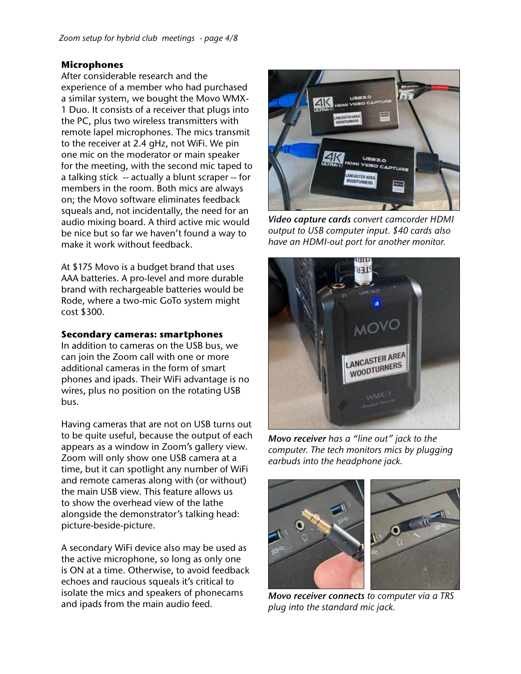#### **Microphones**

After considerable research and the experience of a member who had purchased a similar system, we bought the Movo WMX-1 Duo. It consists of a receiver that plugs into the PC, plus two wireless transmitters with remote lapel microphones. The mics transmit to the receiver at 2.4 gHz, not WiFi. We pin one mic on the moderator or main speaker for the meeting, with the second mic taped to a talking stick -- actually a blunt scraper -- for members in the room. Both mics are always on; the Movo software eliminates feedback squeals and, not incidentally, the need for an audio mixing board. A third active mic would be nice but so far we haven't found a way to make it work without feedback.

At \$175 Movo is a budget brand that uses AAA batteries. A pro-level and more durable brand with rechargeable batteries would be Rode, where a two-mic GoTo system might cost \$300.

#### **Secondary cameras: smartphones**

In addition to cameras on the USB bus, we can join the Zoom call with one or more additional cameras in the form of smart phones and ipads. Their WiFi advantage is no wires, plus no position on the rotating USB bus.

Having cameras that are not on USB turns out to be quite useful, because the output of each appears as a window in Zoom's gallery view. Zoom will only show one USB camera at a time, but it can spotlight any number of WiFi and remote cameras along with (or without) the main USB view. This feature allows us to show the overhead view of the lathe alongside the demonstrator's talking head: picture-beside-picture.

A secondary WiFi device also may be used as the active microphone, so long as only one is ON at a time. Otherwise, to avoid feedback echoes and raucious squeals it's critical to isolate the mics and speakers of phonecams and ipads from the main audio feed.



*Video capture cards convert camcorder HDMI output to USB computer input. \$40 cards also have an HDMI-out port for another monitor.* 



*Movo receiver has a "line out" jack to the computer. The tech monitors mics by plugging earbuds into the headphone jack.* 



*Movo receiver connects to computer via a TRS plug into the standard mic jack.*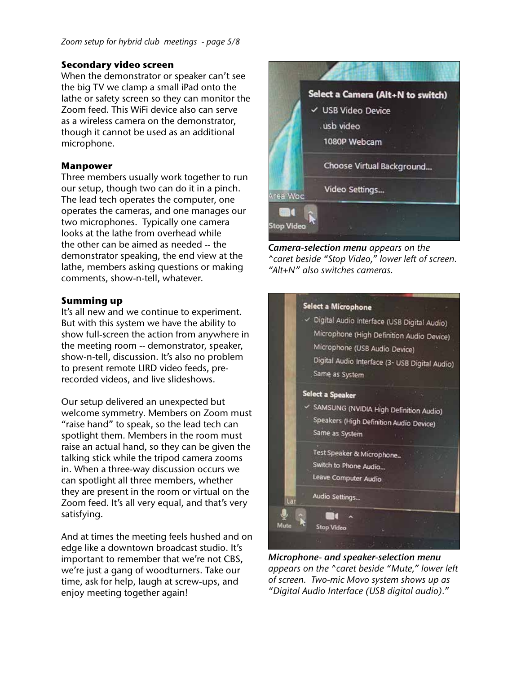#### **Secondary video screen**

When the demonstrator or speaker can't see the big TV we clamp a small iPad onto the lathe or safety screen so they can monitor the Zoom feed. This WiFi device also can serve as a wireless camera on the demonstrator, though it cannot be used as an additional microphone.

#### **Manpower**

Three members usually work together to run our setup, though two can do it in a pinch. The lead tech operates the computer, one operates the cameras, and one manages our two microphones. Typically one camera looks at the lathe from overhead while the other can be aimed as needed -- the demonstrator speaking, the end view at the lathe, members asking questions or making comments, show-n-tell, whatever.

#### **Summing up**

It's all new and we continue to experiment. But with this system we have the ability to show full-screen the action from anywhere in the meeting room -- demonstrator, speaker, show-n-tell, discussion. It's also no problem to present remote LIRD video feeds, prerecorded videos, and live slideshows.

Our setup delivered an unexpected but welcome symmetry. Members on Zoom must "raise hand" to speak, so the lead tech can spotlight them. Members in the room must raise an actual hand, so they can be given the talking stick while the tripod camera zooms in. When a three-way discussion occurs we can spotlight all three members, whether they are present in the room or virtual on the Zoom feed. It's all very equal, and that's very satisfying.

And at times the meeting feels hushed and on edge like a downtown broadcast studio. It's important to remember that we're not CBS, we're just a gang of woodturners. Take our time, ask for help, laugh at screw-ups, and enjoy meeting together again!



*Camera-selection menu appears on the ^caret beside "Stop Video," lower left of screen. "Alt+N" also switches cameras.* 



*Microphone- and speaker-selection menu appears on the ^caret beside "Mute," lower left of screen. Two-mic Movo system shows up as "Digital Audio Interface (USB digital audio)."*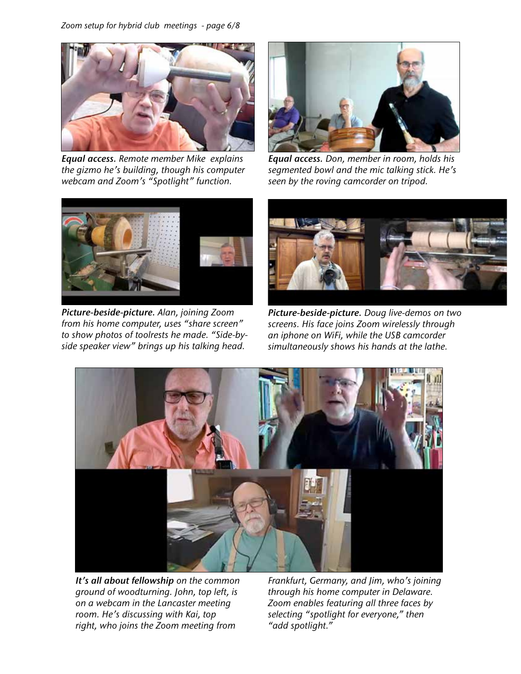

*Equal access. Remote member Mike explains the gizmo he's building, though his computer webcam and Zoom's "Spotlight" function.*



*Equal access. Don, member in room, holds his segmented bowl and the mic talking stick. He's seen by the roving camcorder on tripod.* 



*Picture-beside-picture. Alan, joining Zoom from his home computer, uses "share screen" to show photos of toolrests he made. "Side-byside speaker view" brings up his talking head.* 



*Picture-beside-picture. Doug live-demos on two screens. His face joins Zoom wirelessly through an iphone on WiFi, while the USB camcorder simultaneously shows his hands at the lathe.* 



*It's all about fellowship on the common ground of woodturning. John, top left, is on a webcam in the Lancaster meeting room. He's discussing with Kai, top right, who joins the Zoom meeting from* 

*Frankfurt, Germany, and Jim, who's joining through his home computer in Delaware. Zoom enables featuring all three faces by selecting "spotlight for everyone," then "add spotlight."*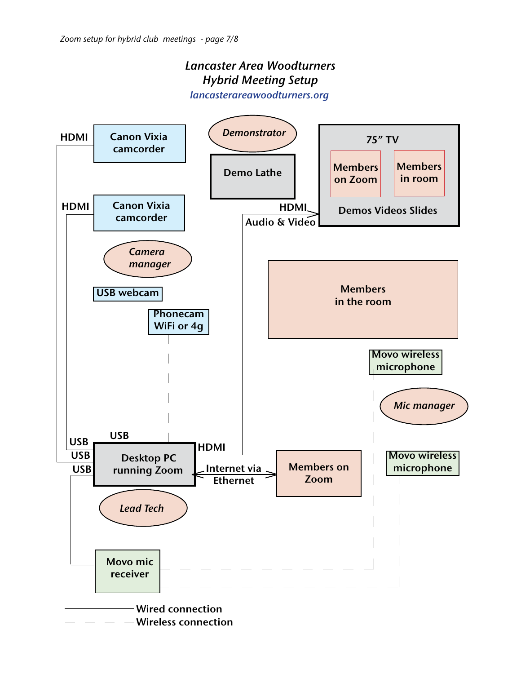# *Lancaster Area Woodturners Hybrid Meeting Setup*

*lancasterareawoodturners.org*